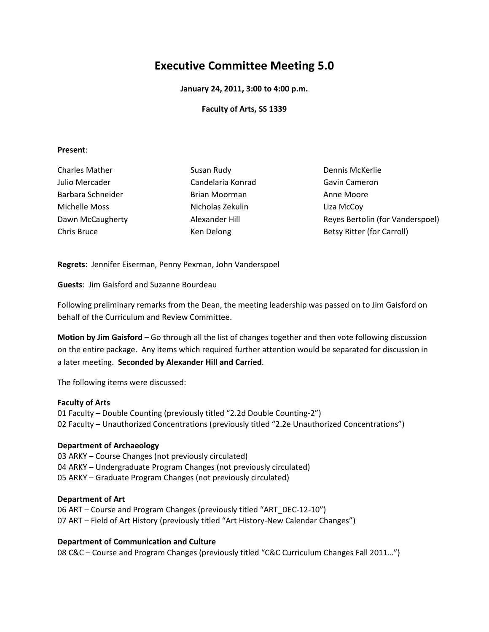# **Executive Committee Meeting 5.0**

**January 24, 2011, 3:00 to 4:00 p.m.** 

# **Faculty of Arts, SS 1339**

## **Present**:

| <b>Charles Mather</b><br>Julio Mercader<br>Barbara Schneider<br>Michelle Moss | Susan Rudy<br>Candelaria Konrad<br>Brian Moorman<br>Nicholas Zekulin | Dennis McKerlie<br>Gavin Cameron<br>Anne Moore<br>Liza McCoy |                  |                |                                   |
|-------------------------------------------------------------------------------|----------------------------------------------------------------------|--------------------------------------------------------------|------------------|----------------|-----------------------------------|
|                                                                               |                                                                      |                                                              | Dawn McCaugherty | Alexander Hill | Reyes Bertolin (for Vanderspoel)  |
|                                                                               |                                                                      |                                                              | Chris Bruce      | Ken Delong     | <b>Betsy Ritter (for Carroll)</b> |

**Regrets**: Jennifer Eiserman, Penny Pexman, John Vanderspoel

**Guests**: Jim Gaisford and Suzanne Bourdeau

Following preliminary remarks from the Dean, the meeting leadership was passed on to Jim Gaisford on behalf of the Curriculum and Review Committee.

**Motion by Jim Gaisford** – Go through all the list of changes together and then vote following discussion on the entire package. Any items which required further attention would be separated for discussion in a later meeting. **Seconded by Alexander Hill and Carried**.

The following items were discussed:

# **Faculty of Arts**

01 Faculty – Double Counting (previously titled "2.2d Double Counting-2") 02 Faculty – Unauthorized Concentrations (previously titled "2.2e Unauthorized Concentrations")

# **Department of Archaeology**

03 ARKY – Course Changes (not previously circulated) 04 ARKY – Undergraduate Program Changes (not previously circulated) 05 ARKY – Graduate Program Changes (not previously circulated)

# **Department of Art**

06 ART – Course and Program Changes (previously titled "ART\_DEC-12-10") 07 ART – Field of Art History (previously titled "Art History-New Calendar Changes")

**Department of Communication and Culture**  08 C&C – Course and Program Changes (previously titled "C&C Curriculum Changes Fall 2011…")